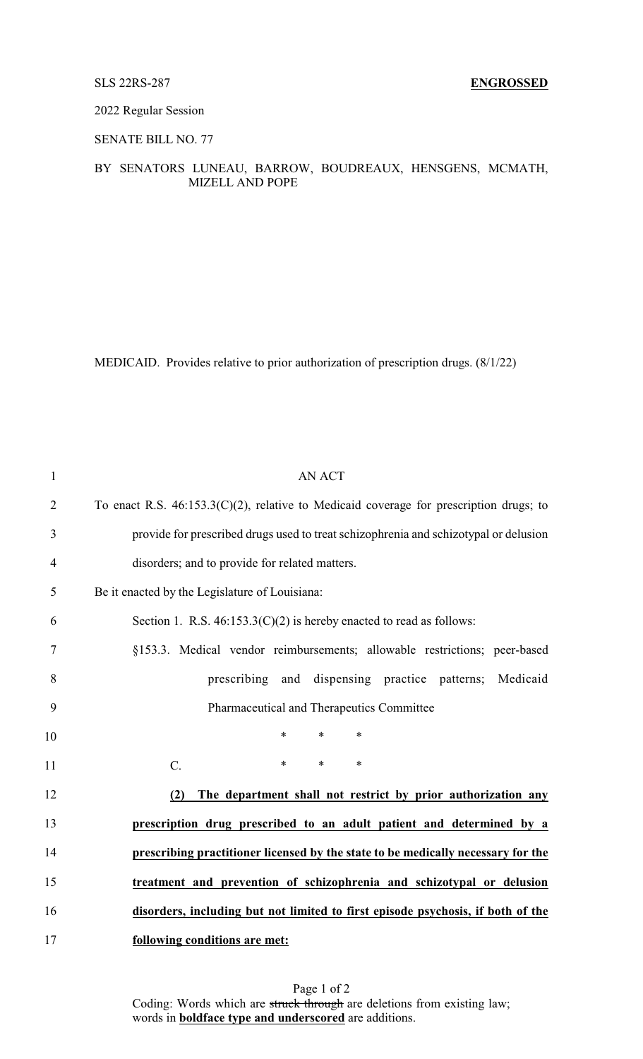## 2022 Regular Session

SENATE BILL NO. 77

## BY SENATORS LUNEAU, BARROW, BOUDREAUX, HENSGENS, MCMATH, MIZELL AND POPE

MEDICAID. Provides relative to prior authorization of prescription drugs. (8/1/22)

| $\mathbf{1}$   | <b>AN ACT</b>                                                                             |
|----------------|-------------------------------------------------------------------------------------------|
| $\overline{2}$ | To enact R.S. $46:153.3(C)(2)$ , relative to Medicaid coverage for prescription drugs; to |
| 3              | provide for prescribed drugs used to treat schizophrenia and schizotypal or delusion      |
| $\overline{4}$ | disorders; and to provide for related matters.                                            |
| 5              | Be it enacted by the Legislature of Louisiana:                                            |
| 6              | Section 1. R.S. $46:153.3(C)(2)$ is hereby enacted to read as follows:                    |
| 7              | §153.3. Medical vendor reimbursements; allowable restrictions; peer-based                 |
| 8              | prescribing and dispensing practice patterns; Medicaid                                    |
| 9              | Pharmaceutical and Therapeutics Committee                                                 |
| 10             | $\ast$<br>$\ast$<br>$\ast$                                                                |
| 11             | $\ast$<br>$\ast$<br>$\ast$<br>$C$ .                                                       |
| 12             | The department shall not restrict by prior authorization any<br>(2)                       |
| 13             | prescription drug prescribed to an adult patient and determined by a                      |
| 14             | prescribing practitioner licensed by the state to be medically necessary for the          |
| 15             | treatment and prevention of schizophrenia and schizotypal or delusion                     |
| 16             | disorders, including but not limited to first episode psychosis, if both of the           |
| 17             | following conditions are met:                                                             |